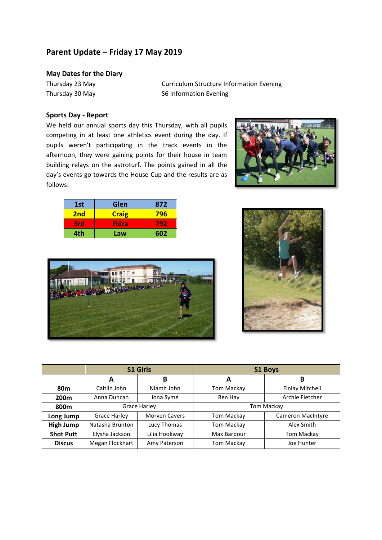# **Parent Update – Friday 17 May 2019**

# **May Dates for the Diary**

Thursday 23 May Curriculum Structure Information Evening Thursday 30 May S6 Information Evening

#### **Sports Day - Report**

We held our annual sports day this Thursday, with all pupils competing in at least one athletics event during the day. If pupils weren't participating in the track events in the afternoon, they were gaining points for their house in team building relays on the astroturf. The points gained in all the day's events go towards the House Cup and the results are as follows:







|                  | <b>S1 Girls</b>     |                      | <b>S1 Boys</b> |                          |
|------------------|---------------------|----------------------|----------------|--------------------------|
|                  | A                   | В                    | A              | В                        |
| 80 <sub>m</sub>  | Caitlin John        | Niamh John           | Tom Mackay     | <b>Finlay Mitchell</b>   |
| 200 <sub>m</sub> | Anna Duncan         | Iona Syme            | Ben Hay        | Archie Fletcher          |
| 800m             | Grace Harley        |                      | Tom Mackay     |                          |
| Long Jump        | <b>Grace Harley</b> | <b>Morven Cavers</b> | Tom Mackay     | <b>Cameron MacIntyre</b> |
| <b>High Jump</b> | Natasha Brunton     | Lucy Thomas          | Tom Mackay     | Alex Smith               |
| <b>Shot Putt</b> | Elysha Jackson      | Lilia Hookway        | Max Barbour    | Tom Mackay               |
| <b>Discus</b>    | Megan Flockhart     | Amy Paterson         | Tom Mackay     | Joe Hunter               |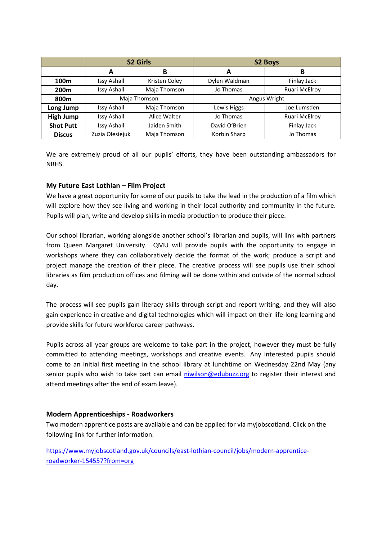|                  | <b>S2 Girls</b>    |               | <b>S2 Boys</b> |               |  |
|------------------|--------------------|---------------|----------------|---------------|--|
|                  | A                  | В             | A              | В             |  |
| 100 <sub>m</sub> | <b>Issy Ashall</b> | Kristen Coley | Dylen Waldman  | Finlay Jack   |  |
| 200 <sub>m</sub> | <b>Issy Ashall</b> | Maja Thomson  | Jo Thomas      | Ruari McElroy |  |
| 800m             | Maja Thomson       |               | Angus Wright   |               |  |
| Long Jump        | <b>Issy Ashall</b> | Maja Thomson  | Lewis Higgs    | Joe Lumsden   |  |
| <b>High Jump</b> | <b>Issy Ashall</b> | Alice Walter  | Jo Thomas      | Ruari McElroy |  |
| <b>Shot Putt</b> | <b>Issy Ashall</b> | Jaiden Smith  | David O'Brien  | Finlay Jack   |  |
| <b>Discus</b>    | Zuzia Olesiejuk    | Maja Thomson  | Korbin Sharp   | Jo Thomas     |  |

We are extremely proud of all our pupils' efforts, they have been outstanding ambassadors for NBHS.

# **My Future East Lothian – Film Project**

We have a great opportunity for some of our pupils to take the lead in the production of a film which will explore how they see living and working in their local authority and community in the future. Pupils will plan, write and develop skills in media production to produce their piece.

Our school librarian, working alongside another school's librarian and pupils, will link with partners from Queen Margaret University. QMU will provide pupils with the opportunity to engage in workshops where they can collaboratively decide the format of the work; produce a script and project manage the creation of their piece. The creative process will see pupils use their school libraries as film production offices and filming will be done within and outside of the normal school day.

The process will see pupils gain literacy skills through script and report writing, and they will also gain experience in creative and digital technologies which will impact on their life-long learning and provide skills for future workforce career pathways.

Pupils across all year groups are welcome to take part in the project, however they must be fully committed to attending meetings, workshops and creative events. Any interested pupils should come to an initial first meeting in the school library at lunchtime on Wednesday 22nd May (any senior pupils who wish to take part can email [niwilson@edubuzz.org](mailto:niwilson@edubuzz.org) to register their interest and attend meetings after the end of exam leave).

## **Modern Apprenticeships - Roadworkers**

Two modern apprentice posts are available and can be applied for via myjobscotland. Click on the following link for further information:

[https://www.myjobscotland.gov.uk/councils/east-lothian-council/jobs/modern-apprentice](https://www.myjobscotland.gov.uk/councils/east-lothian-council/jobs/modern-apprentice-roadworker-154557?from=org)[roadworker-154557?from=org](https://www.myjobscotland.gov.uk/councils/east-lothian-council/jobs/modern-apprentice-roadworker-154557?from=org)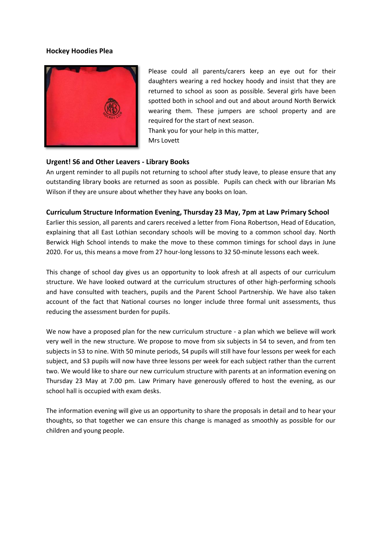#### **Hockey Hoodies Plea**



Please could all parents/carers keep an eye out for their daughters wearing a red hockey hoody and insist that they are returned to school as soon as possible. Several girls have been spotted both in school and out and about around North Berwick wearing them. These jumpers are school property and are required for the start of next season. Thank you for your help in this matter,

Mrs Lovett

## **Urgent! S6 and Other Leavers - Library Books**

An urgent reminder to all pupils not returning to school after study leave, to please ensure that any outstanding library books are returned as soon as possible. Pupils can check with our librarian Ms Wilson if they are unsure about whether they have any books on loan.

## **Curriculum Structure Information Evening, Thursday 23 May, 7pm at Law Primary School**

Earlier this session, all parents and carers received a letter from Fiona Robertson, Head of Education, explaining that all East Lothian secondary schools will be moving to a common school day. North Berwick High School intends to make the move to these common timings for school days in June 2020. For us, this means a move from 27 hour-long lessons to 32 50-minute lessons each week.

This change of school day gives us an opportunity to look afresh at all aspects of our curriculum structure. We have looked outward at the curriculum structures of other high-performing schools and have consulted with teachers, pupils and the Parent School Partnership. We have also taken account of the fact that National courses no longer include three formal unit assessments, thus reducing the assessment burden for pupils.

We now have a proposed plan for the new curriculum structure - a plan which we believe will work very well in the new structure. We propose to move from six subjects in S4 to seven, and from ten subjects in S3 to nine. With 50 minute periods, S4 pupils will still have four lessons per week for each subject, and S3 pupils will now have three lessons per week for each subject rather than the current two. We would like to share our new curriculum structure with parents at an information evening on Thursday 23 May at 7.00 pm. Law Primary have generously offered to host the evening, as our school hall is occupied with exam desks.

The information evening will give us an opportunity to share the proposals in detail and to hear your thoughts, so that together we can ensure this change is managed as smoothly as possible for our children and young people.